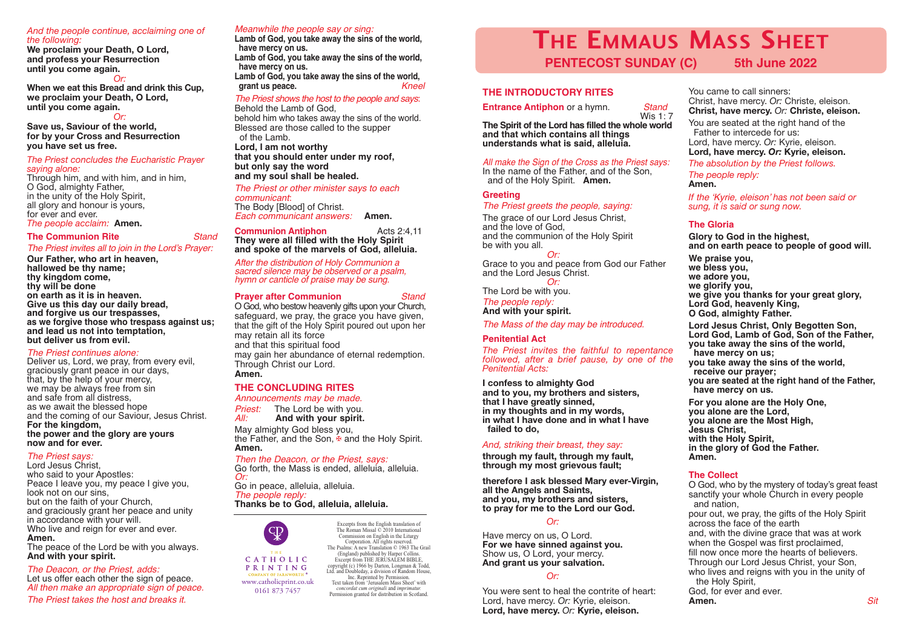#### *And the people continue, acclaiming one of the following:*

**We proclaim your Death, O Lord, and profess your Resurrection until you come again.**

**When we eat this Bread and drink this Cup, we proclaim your Death, O Lord, until you come again.** *Or:*

*Or:*

**Save us, Saviour of the world, for by your Cross and Resurrection you have set us free.**

### *The Priest concludes the Eucharistic Prayer saying alone:*

O God, almighty Father,<br>in the unity of the Holy Spirit,<br>all glory and honour is yours,<br>for ever and ever.<br>*The people acclaim:* **Amen.** 

#### **The Communion Rite** *Stand*

*The Priest invites all to join in the Lord's Prayer:* **hallowed** be thy name: **thy kingdom come, thy will be done** Give us this day our daily bread,<br>and forgive us our trespasses, **as we forgive those who trespass against us; and lead us not into temptation, but deliver us from evil.**

*The Priest continues alone:*<br>
Deliver us, Lord, we pray, from every evil, graciously grant peace in our days, that, by the help of your mercy, we may be always free from sin and safe from all distress. as we await the blessed hope and the coming of our Saviour, Jesus Christ. **For the kingdom, the power and the glory are yours now and for ever.**

*The Priest says:*<br>
Lord Jesus Christ,<br>
who said to your Apostles:<br>
Peace I leave you, my peace I give you,<br>
look not on our sins,<br>
but on the faith of your Church,<br>
and graciously grant her peace and unity<br>
in accordance in accordance with your will. Who live and reign for ever and ever. **Amen.** The peace of the Lord be with you always. **And with your spirit.**

*The Deacon, or the Priest, adds:* Let us offer each other the sign of peace. *All then make an appropriate sign of peace. The Priest takes the host and breaks it.*

#### *Meanwhile the people say or sing:*

**Lamb of God, you take away the sins of the world, have mercy on us. Lamb of God, you take away the sins of the world, have mercy on us.**

**Lamb of God, you take away the sins of the world, grant us peace**.

#### *The Priest shows the host to the people and says*: Behold the Lamb of God, behold him who takes away the sins of the world.

Blessed are those called to the supper of the Lamb. **Lord, I am not worthy that you should enter under my roof, but only say the word and my soul shall be healed.**

### *The Priest or other minister says to each*

*communicant*: The Body [Blood] of Christ. *Each communicant answers:* **Amen.**

**Communion Antiphon** Acts 2:4,11 **They were all filled with the Holy Spirit and spoke of the marvels of God, alleluia.**

*After the distribution of Holy Communion a sacred silence may be observed or <sup>a</sup> psalm, hymn or canticle of praise may be sung.*

### **Prayer after Communion** *Stand*

O God, who bestow heavenly gifts upon your Church, safeguard, we pray, the grace you have given. that the gift of the Holy Spirit poured out upon her may retain all its force and that this spiritual food may gain her abundance of eternal redemption. Through Christ our Lord. **Amen.**

### **THE CONCLUDING RITES**

*Announcements may be made.* **Priest:** The Lord be with you.<br>All: **And with your spirit** 

*All:* **And with your spirit.** May almighty God bless you, the Father, and the Son, ⊕ and the Holy Spirit. **Amen.**

Then the Deacon, or the Priest, says:<br>Go forth, the Mass is ended, alleluia, alleluia.<br>Or:<br>Go in peace, alleluia, alleluia.<br>The people reply:<br>Thanks be to God. alleluia. alleluia.



www.catholicprint.co.uk 0161 873 7457

Excerpts from the English translation of The Roman Missal © 2010 International Commission on English in the Liturgy Corporation. All rights reserved. The Psalms: A new Translation © 1963 The Grail (England) published by Harper Collins. Excernt from THE JERUSALEM BIBLE copyright (c) 1966 by Darton, Longman & Todd, Ltd. and Doubleday, a division of Random House, Inc. Reprinted by Permission. Text taken from 'Jerusalem Mass Sheet' with *concordat cum originali* and *imprimatur.* Permission granted for distribution in Scotland.

# **THE EMMAUS MASS SHEET**

**PENTECOST SUNDAY (C) 5th June 2022**

#### **THE INTRODUCTORY RITES**

**Entrance Antiphon** or a hymn. *Stand*

Wis 1: 7 **The Spirit of the Lord has filled the whole world and that which contains all things understands what is said, alleluia.**

*All make the Sign of the Cross as the Priest says:* In the name of the Father, and of the Son,

and of the Holy Spirit. **Amen.**

### **Greeting**

#### *The Priest greets the people, saying:*

The grace of our Lord Jesus Christ. and the love of God, and the communion of the Holy Spirit be with you all.

*Or:*

Grace to you and peace from God our Father and the Lord Jesus Christ. *Or:*

The Lord be with you.<br>The people reply:

## *The people reply:* **And with your spirit.**

*The Mass of the day may be introduced.*

#### **Penitential Act**

*The Priest invites the faithful to repentance followed, after a brief pause, by one of the Penitential Acts:*

**I confess to almighty God and to you, my brothers and sisters, that I have greatly sinned, in my thoughts and in my words, in what I have done and in what I have failed to do,**

### *And, striking their breast, they say:*

**through my fault, through my fault, through my most grievous fault;**

**therefore I ask blessed Mary ever-Virgin, all the Angels and Saints, and you, my brothers and sisters, to pray for me to the Lord our God.**

#### *Or:*

Have mercy on us, O Lord. **For we have sinned against you.** Show us, O Lord, your mercy. **And grant us your salvation.**

#### *Or:*

You were sent to heal the contrite of heart: Lord, have mercy. *Or:* Kyrie, eleison. **Lord, have mercy.** *Or:* **Kyrie, eleison.**

You came to call sinners: Christ, have mercy. *Or:* Christe, eleison. **Christ, have mercy.** *Or:* **Christe, eleison.**

You are seated at the right hand of the Father to intercede for us: Lord, have mercy. *Or:* Kyrie, eleison. **Lord, have mercy.** *Or:* **Kyrie, eleison.** *The absolution by the Priest follows. The people reply:*

**Amen.**

*If the 'Kyrie, eleison' has not been said or sung, it is said or sung now.*

#### **The Gloria**

**Glory to God in the highest, and on earth peace to people of good will.**

**We praise you, we bless you, we adore you, we glorify you, we give you thanks for your great glory, Lord God, heavenly King, <sup>O</sup> God, almighty Father.**

Lord Jesus Christ, Only Begotten Son,<br>Lord God, Lamb of God, Son of the Father,<br>you take away the sins of the world,<br>have mercy on us: **you take away the sins of the world, receive our prayer; you are seated at the right hand of the Father, have mercy on us.**

For you alone are the Holy One,<br>you alone are the Lord,<br>you alone are the Most High,<br>Jesus Christ,<br>with the Holy Spirit,<br>in the glory of God the Father.<br>Amen.

### **The Collect**

O God, who by the mystery of today's great feast sanctify your whole Church in every people and nation, pour out, we pray, the gifts of the Holy Spirit across the face of the earth and, with the divine grace that was at work when the Gospel was first proclaimed, fill now once more the hearts of believers. Through our Lord Jesus Christ, your Son, who lives and reigns with you in the unity of the Holy Spirit, God, for ever and ever.<br>**Amen**. **Amen.** *Sit*